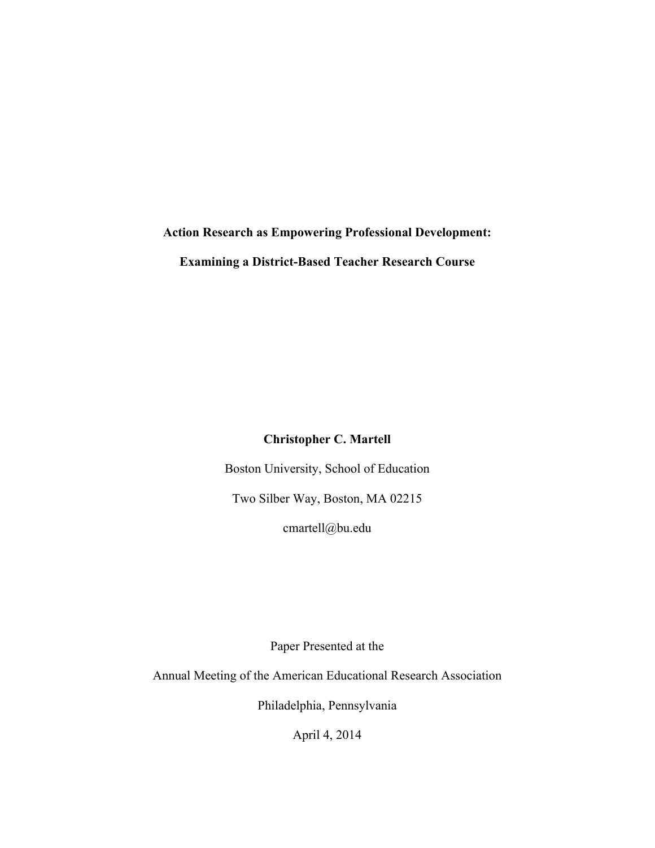# **Action Research as Empowering Professional Development:**

**Examining a District-Based Teacher Research Course**

## **Christopher C. Martell**

Boston University, School of Education Two Silber Way, Boston, MA 02215

cmartell@bu.edu

Paper Presented at the

Annual Meeting of the American Educational Research Association

Philadelphia, Pennsylvania

April 4, 2014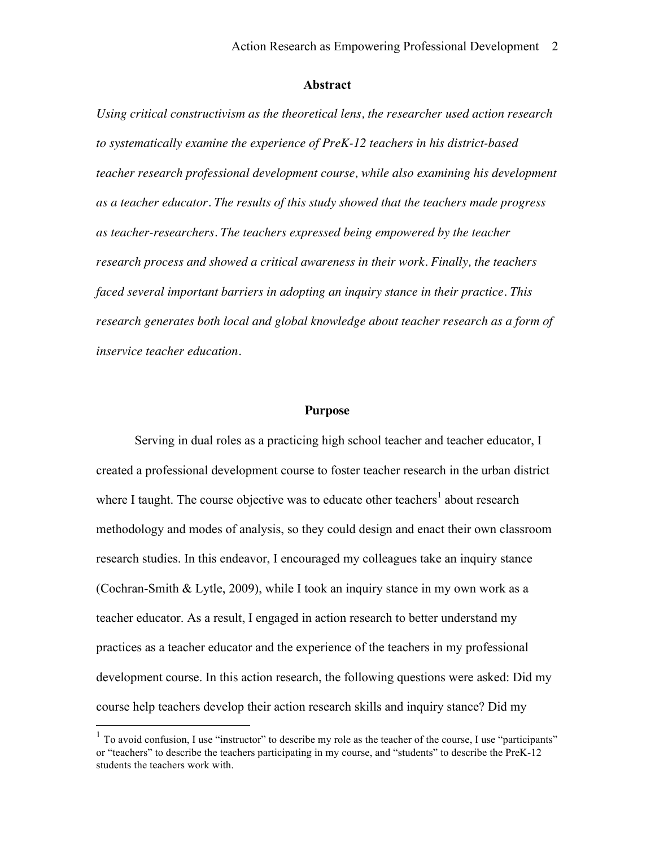### **Abstract**

*Using critical constructivism as the theoretical lens, the researcher used action research to systematically examine the experience of PreK-12 teachers in his district-based teacher research professional development course, while also examining his development as a teacher educator. The results of this study showed that the teachers made progress as teacher-researchers. The teachers expressed being empowered by the teacher research process and showed a critical awareness in their work. Finally, the teachers faced several important barriers in adopting an inquiry stance in their practice. This research generates both local and global knowledge about teacher research as a form of inservice teacher education.*

#### **Purpose**

Serving in dual roles as a practicing high school teacher and teacher educator, I created a professional development course to foster teacher research in the urban district where I taught. The course objective was to educate other teachers<sup>1</sup> about research methodology and modes of analysis, so they could design and enact their own classroom research studies. In this endeavor, I encouraged my colleagues take an inquiry stance (Cochran-Smith & Lytle, 2009), while I took an inquiry stance in my own work as a teacher educator. As a result, I engaged in action research to better understand my practices as a teacher educator and the experience of the teachers in my professional development course. In this action research, the following questions were asked: Did my course help teachers develop their action research skills and inquiry stance? Did my

 $<sup>1</sup>$  To avoid confusion, I use "instructor" to describe my role as the teacher of the course, I use "participants"</sup> or "teachers" to describe the teachers participating in my course, and "students" to describe the PreK-12 students the teachers work with.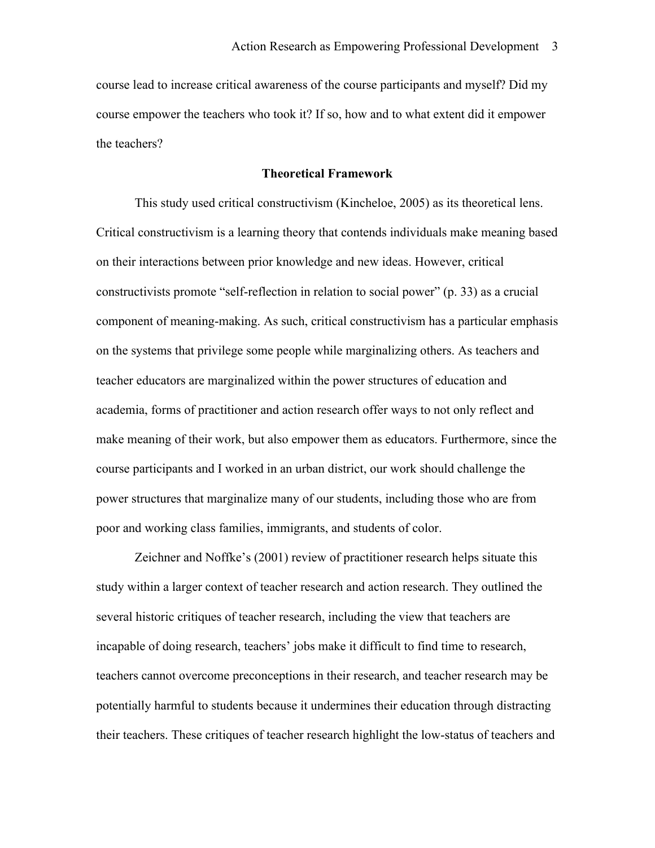course lead to increase critical awareness of the course participants and myself? Did my course empower the teachers who took it? If so, how and to what extent did it empower the teachers?

### **Theoretical Framework**

This study used critical constructivism (Kincheloe, 2005) as its theoretical lens. Critical constructivism is a learning theory that contends individuals make meaning based on their interactions between prior knowledge and new ideas. However, critical constructivists promote "self-reflection in relation to social power" (p. 33) as a crucial component of meaning-making. As such, critical constructivism has a particular emphasis on the systems that privilege some people while marginalizing others. As teachers and teacher educators are marginalized within the power structures of education and academia, forms of practitioner and action research offer ways to not only reflect and make meaning of their work, but also empower them as educators. Furthermore, since the course participants and I worked in an urban district, our work should challenge the power structures that marginalize many of our students, including those who are from poor and working class families, immigrants, and students of color.

Zeichner and Noffke's (2001) review of practitioner research helps situate this study within a larger context of teacher research and action research. They outlined the several historic critiques of teacher research, including the view that teachers are incapable of doing research, teachers' jobs make it difficult to find time to research, teachers cannot overcome preconceptions in their research, and teacher research may be potentially harmful to students because it undermines their education through distracting their teachers. These critiques of teacher research highlight the low-status of teachers and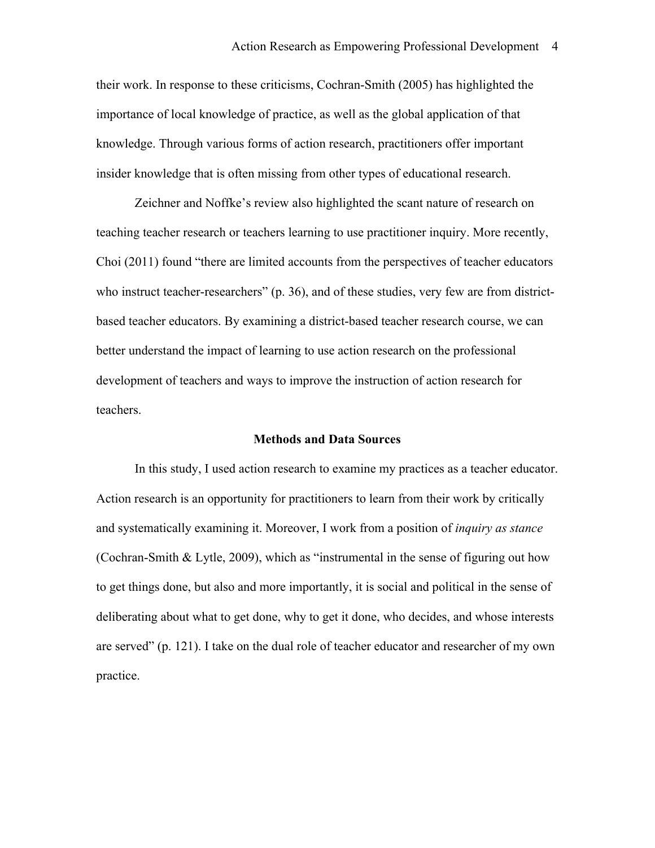their work. In response to these criticisms, Cochran-Smith (2005) has highlighted the importance of local knowledge of practice, as well as the global application of that knowledge. Through various forms of action research, practitioners offer important insider knowledge that is often missing from other types of educational research.

Zeichner and Noffke's review also highlighted the scant nature of research on teaching teacher research or teachers learning to use practitioner inquiry. More recently, Choi (2011) found "there are limited accounts from the perspectives of teacher educators who instruct teacher-researchers" (p. 36), and of these studies, very few are from districtbased teacher educators. By examining a district-based teacher research course, we can better understand the impact of learning to use action research on the professional development of teachers and ways to improve the instruction of action research for teachers.

#### **Methods and Data Sources**

In this study, I used action research to examine my practices as a teacher educator. Action research is an opportunity for practitioners to learn from their work by critically and systematically examining it. Moreover, I work from a position of *inquiry as stance* (Cochran-Smith & Lytle, 2009), which as "instrumental in the sense of figuring out how to get things done, but also and more importantly, it is social and political in the sense of deliberating about what to get done, why to get it done, who decides, and whose interests are served" (p. 121). I take on the dual role of teacher educator and researcher of my own practice.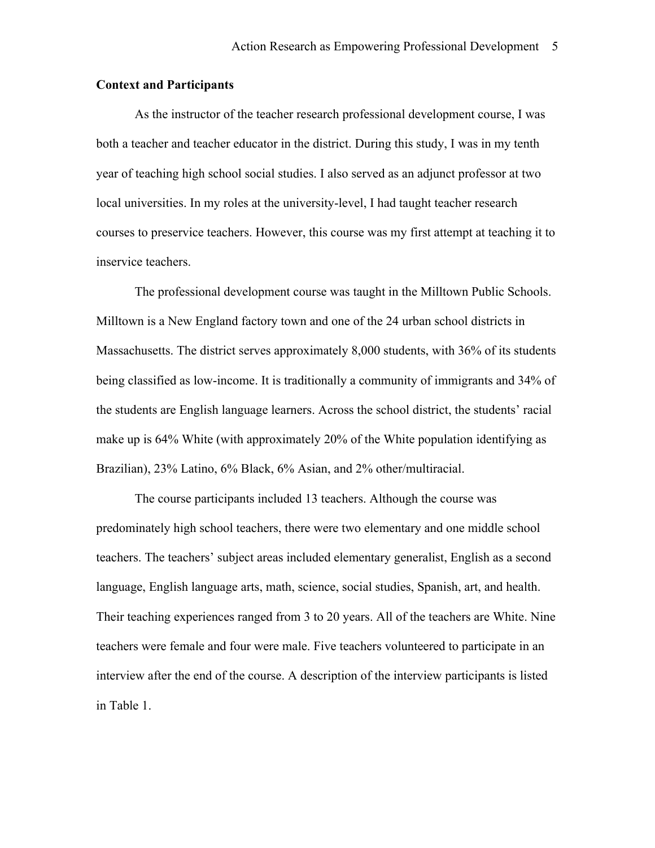### **Context and Participants**

As the instructor of the teacher research professional development course, I was both a teacher and teacher educator in the district. During this study, I was in my tenth year of teaching high school social studies. I also served as an adjunct professor at two local universities. In my roles at the university-level, I had taught teacher research courses to preservice teachers. However, this course was my first attempt at teaching it to inservice teachers.

The professional development course was taught in the Milltown Public Schools. Milltown is a New England factory town and one of the 24 urban school districts in Massachusetts. The district serves approximately 8,000 students, with 36% of its students being classified as low-income. It is traditionally a community of immigrants and 34% of the students are English language learners. Across the school district, the students' racial make up is 64% White (with approximately 20% of the White population identifying as Brazilian), 23% Latino, 6% Black, 6% Asian, and 2% other/multiracial.

The course participants included 13 teachers. Although the course was predominately high school teachers, there were two elementary and one middle school teachers. The teachers' subject areas included elementary generalist, English as a second language, English language arts, math, science, social studies, Spanish, art, and health. Their teaching experiences ranged from 3 to 20 years. All of the teachers are White. Nine teachers were female and four were male. Five teachers volunteered to participate in an interview after the end of the course. A description of the interview participants is listed in Table 1.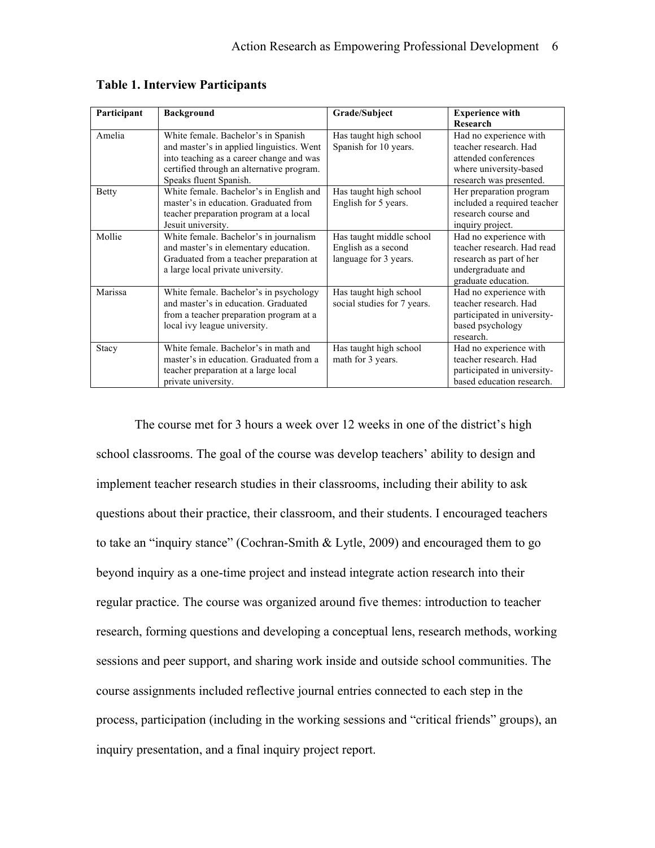| Participant  | <b>Background</b>                                                                                                                                                                                   | Grade/Subject                                                            | <b>Experience with</b><br>Research                                                                                           |
|--------------|-----------------------------------------------------------------------------------------------------------------------------------------------------------------------------------------------------|--------------------------------------------------------------------------|------------------------------------------------------------------------------------------------------------------------------|
| Amelia       | White female. Bachelor's in Spanish<br>and master's in applied linguistics. Went<br>into teaching as a career change and was<br>certified through an alternative program.<br>Speaks fluent Spanish. | Has taught high school<br>Spanish for 10 years.                          | Had no experience with<br>teacher research. Had<br>attended conferences<br>where university-based<br>research was presented. |
| <b>Betty</b> | White female. Bachelor's in English and<br>master's in education. Graduated from<br>teacher preparation program at a local<br>Jesuit university.                                                    | Has taught high school<br>English for 5 years.                           | Her preparation program<br>included a required teacher<br>research course and<br>inquiry project.                            |
| Mollie       | White female. Bachelor's in journalism<br>and master's in elementary education.<br>Graduated from a teacher preparation at<br>a large local private university.                                     | Has taught middle school<br>English as a second<br>language for 3 years. | Had no experience with<br>teacher research. Had read<br>research as part of her<br>undergraduate and<br>graduate education.  |
| Marissa      | White female. Bachelor's in psychology<br>and master's in education. Graduated<br>from a teacher preparation program at a<br>local ivy league university.                                           | Has taught high school<br>social studies for 7 years.                    | Had no experience with<br>teacher research. Had<br>participated in university-<br>based psychology<br>research.              |
| Stacy        | White female. Bachelor's in math and<br>master's in education. Graduated from a<br>teacher preparation at a large local<br>private university.                                                      | Has taught high school<br>math for 3 years.                              | Had no experience with<br>teacher research. Had<br>participated in university-<br>based education research.                  |

### **Table 1. Interview Participants**

The course met for 3 hours a week over 12 weeks in one of the district's high school classrooms. The goal of the course was develop teachers' ability to design and implement teacher research studies in their classrooms, including their ability to ask questions about their practice, their classroom, and their students. I encouraged teachers to take an "inquiry stance" (Cochran-Smith & Lytle, 2009) and encouraged them to go beyond inquiry as a one-time project and instead integrate action research into their regular practice. The course was organized around five themes: introduction to teacher research, forming questions and developing a conceptual lens, research methods, working sessions and peer support, and sharing work inside and outside school communities. The course assignments included reflective journal entries connected to each step in the process, participation (including in the working sessions and "critical friends" groups), an inquiry presentation, and a final inquiry project report.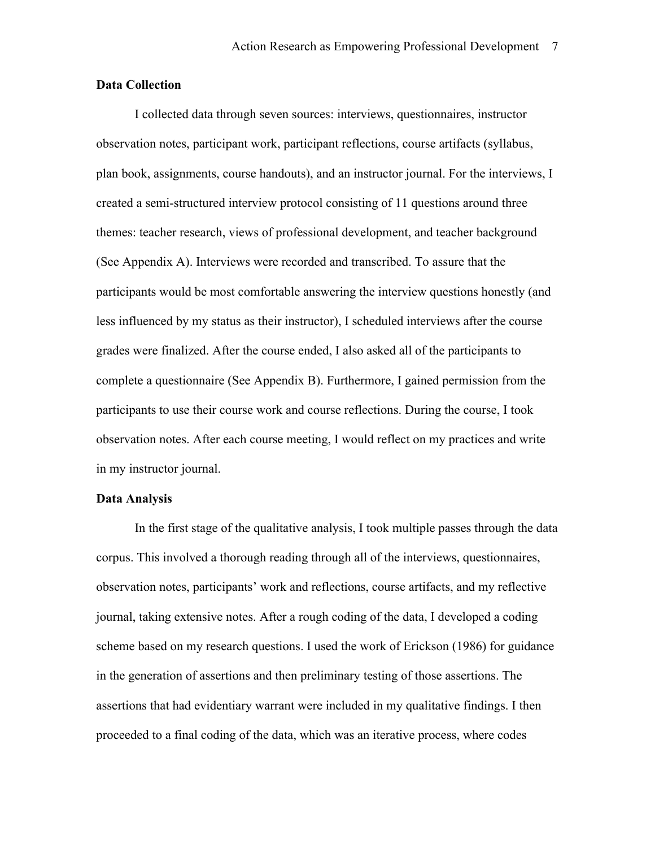### **Data Collection**

I collected data through seven sources: interviews, questionnaires, instructor observation notes, participant work, participant reflections, course artifacts (syllabus, plan book, assignments, course handouts), and an instructor journal. For the interviews, I created a semi-structured interview protocol consisting of 11 questions around three themes: teacher research, views of professional development, and teacher background (See Appendix A). Interviews were recorded and transcribed. To assure that the participants would be most comfortable answering the interview questions honestly (and less influenced by my status as their instructor), I scheduled interviews after the course grades were finalized. After the course ended, I also asked all of the participants to complete a questionnaire (See Appendix B). Furthermore, I gained permission from the participants to use their course work and course reflections. During the course, I took observation notes. After each course meeting, I would reflect on my practices and write in my instructor journal.

#### **Data Analysis**

In the first stage of the qualitative analysis, I took multiple passes through the data corpus. This involved a thorough reading through all of the interviews, questionnaires, observation notes, participants' work and reflections, course artifacts, and my reflective journal, taking extensive notes. After a rough coding of the data, I developed a coding scheme based on my research questions. I used the work of Erickson (1986) for guidance in the generation of assertions and then preliminary testing of those assertions. The assertions that had evidentiary warrant were included in my qualitative findings. I then proceeded to a final coding of the data, which was an iterative process, where codes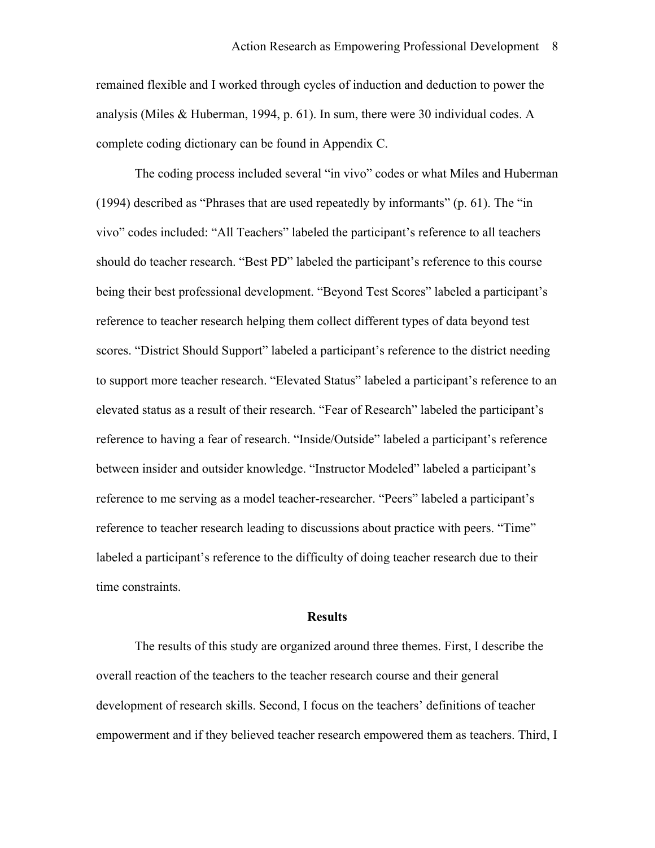remained flexible and I worked through cycles of induction and deduction to power the analysis (Miles & Huberman, 1994, p. 61). In sum, there were 30 individual codes. A complete coding dictionary can be found in Appendix C.

The coding process included several "in vivo" codes or what Miles and Huberman (1994) described as "Phrases that are used repeatedly by informants" (p. 61). The "in vivo" codes included: "All Teachers" labeled the participant's reference to all teachers should do teacher research. "Best PD" labeled the participant's reference to this course being their best professional development. "Beyond Test Scores" labeled a participant's reference to teacher research helping them collect different types of data beyond test scores. "District Should Support" labeled a participant's reference to the district needing to support more teacher research. "Elevated Status" labeled a participant's reference to an elevated status as a result of their research. "Fear of Research" labeled the participant's reference to having a fear of research. "Inside/Outside" labeled a participant's reference between insider and outsider knowledge. "Instructor Modeled" labeled a participant's reference to me serving as a model teacher-researcher. "Peers" labeled a participant's reference to teacher research leading to discussions about practice with peers. "Time" labeled a participant's reference to the difficulty of doing teacher research due to their time constraints.

#### **Results**

The results of this study are organized around three themes. First, I describe the overall reaction of the teachers to the teacher research course and their general development of research skills. Second, I focus on the teachers' definitions of teacher empowerment and if they believed teacher research empowered them as teachers. Third, I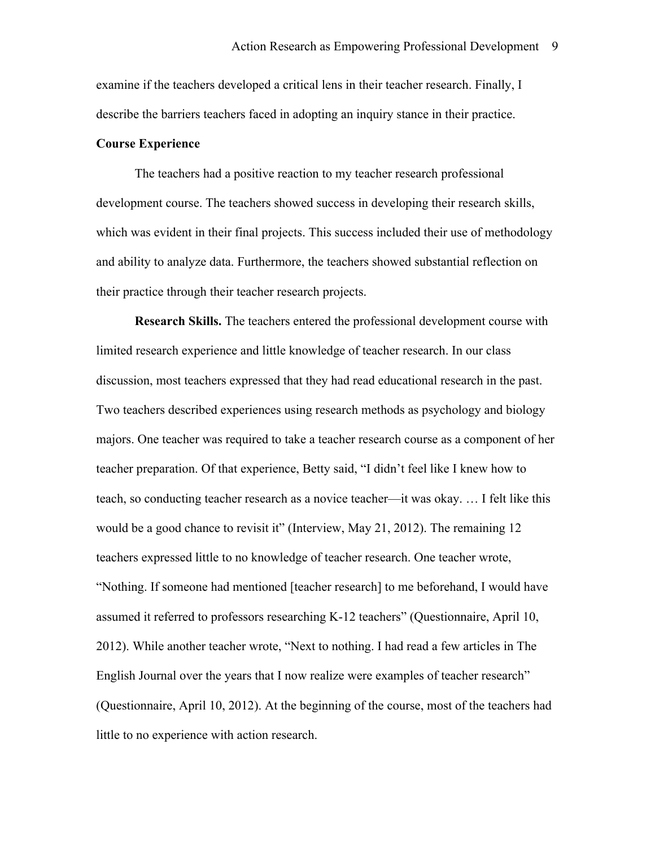examine if the teachers developed a critical lens in their teacher research. Finally, I describe the barriers teachers faced in adopting an inquiry stance in their practice.

### **Course Experience**

The teachers had a positive reaction to my teacher research professional development course. The teachers showed success in developing their research skills, which was evident in their final projects. This success included their use of methodology and ability to analyze data. Furthermore, the teachers showed substantial reflection on their practice through their teacher research projects.

**Research Skills.** The teachers entered the professional development course with limited research experience and little knowledge of teacher research. In our class discussion, most teachers expressed that they had read educational research in the past. Two teachers described experiences using research methods as psychology and biology majors. One teacher was required to take a teacher research course as a component of her teacher preparation. Of that experience, Betty said, "I didn't feel like I knew how to teach, so conducting teacher research as a novice teacher—it was okay. … I felt like this would be a good chance to revisit it" (Interview, May 21, 2012). The remaining 12 teachers expressed little to no knowledge of teacher research. One teacher wrote, "Nothing. If someone had mentioned [teacher research] to me beforehand, I would have assumed it referred to professors researching K-12 teachers" (Questionnaire, April 10, 2012). While another teacher wrote, "Next to nothing. I had read a few articles in The English Journal over the years that I now realize were examples of teacher research" (Questionnaire, April 10, 2012). At the beginning of the course, most of the teachers had little to no experience with action research.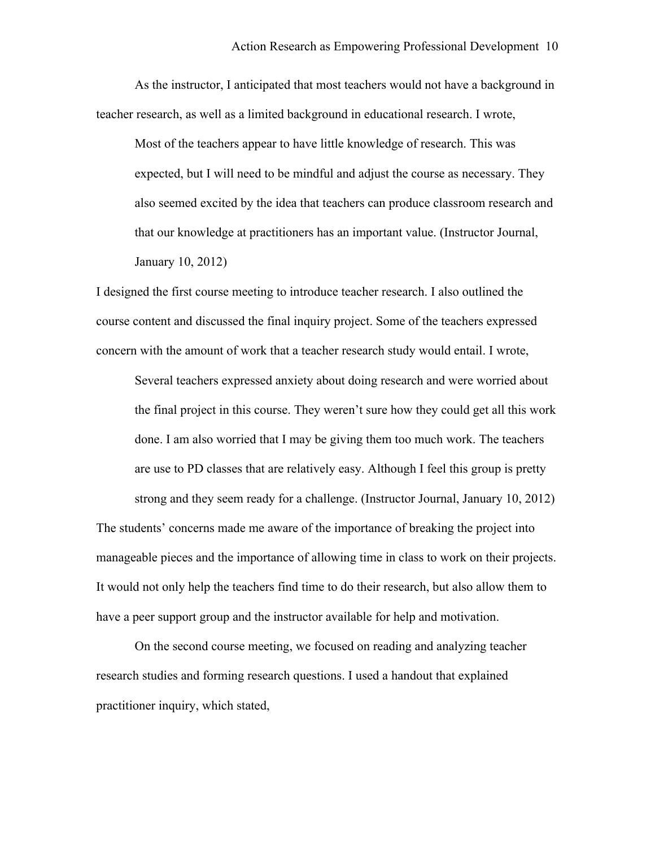As the instructor, I anticipated that most teachers would not have a background in teacher research, as well as a limited background in educational research. I wrote,

Most of the teachers appear to have little knowledge of research. This was expected, but I will need to be mindful and adjust the course as necessary. They also seemed excited by the idea that teachers can produce classroom research and that our knowledge at practitioners has an important value. (Instructor Journal, January 10, 2012)

I designed the first course meeting to introduce teacher research. I also outlined the course content and discussed the final inquiry project. Some of the teachers expressed concern with the amount of work that a teacher research study would entail. I wrote,

Several teachers expressed anxiety about doing research and were worried about the final project in this course. They weren't sure how they could get all this work done. I am also worried that I may be giving them too much work. The teachers are use to PD classes that are relatively easy. Although I feel this group is pretty

strong and they seem ready for a challenge. (Instructor Journal, January 10, 2012)

The students' concerns made me aware of the importance of breaking the project into manageable pieces and the importance of allowing time in class to work on their projects. It would not only help the teachers find time to do their research, but also allow them to have a peer support group and the instructor available for help and motivation.

On the second course meeting, we focused on reading and analyzing teacher research studies and forming research questions. I used a handout that explained practitioner inquiry, which stated,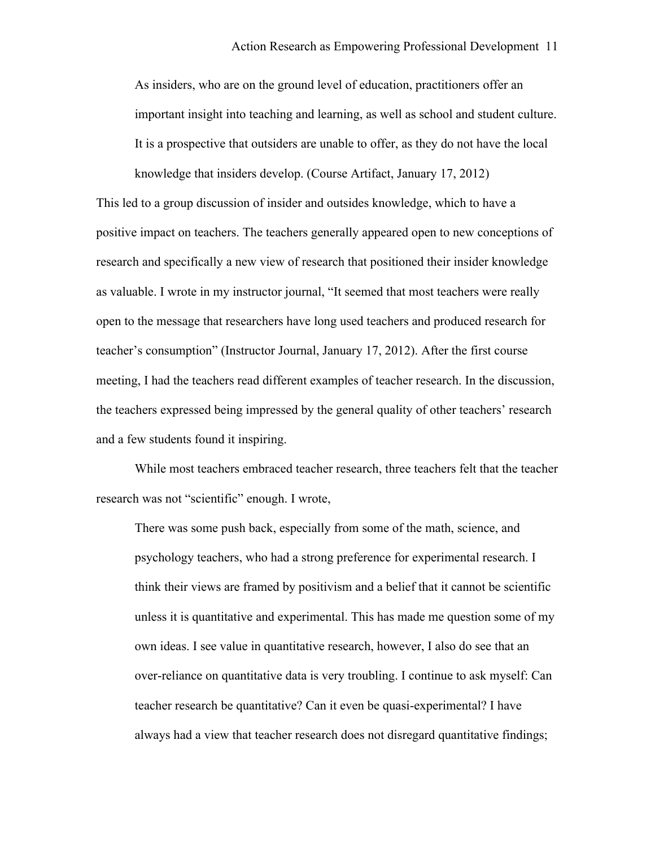As insiders, who are on the ground level of education, practitioners offer an important insight into teaching and learning, as well as school and student culture. It is a prospective that outsiders are unable to offer, as they do not have the local

knowledge that insiders develop. (Course Artifact, January 17, 2012)

This led to a group discussion of insider and outsides knowledge, which to have a positive impact on teachers. The teachers generally appeared open to new conceptions of research and specifically a new view of research that positioned their insider knowledge as valuable. I wrote in my instructor journal, "It seemed that most teachers were really open to the message that researchers have long used teachers and produced research for teacher's consumption" (Instructor Journal, January 17, 2012). After the first course meeting, I had the teachers read different examples of teacher research. In the discussion, the teachers expressed being impressed by the general quality of other teachers' research and a few students found it inspiring.

While most teachers embraced teacher research, three teachers felt that the teacher research was not "scientific" enough. I wrote,

There was some push back, especially from some of the math, science, and psychology teachers, who had a strong preference for experimental research. I think their views are framed by positivism and a belief that it cannot be scientific unless it is quantitative and experimental. This has made me question some of my own ideas. I see value in quantitative research, however, I also do see that an over-reliance on quantitative data is very troubling. I continue to ask myself: Can teacher research be quantitative? Can it even be quasi-experimental? I have always had a view that teacher research does not disregard quantitative findings;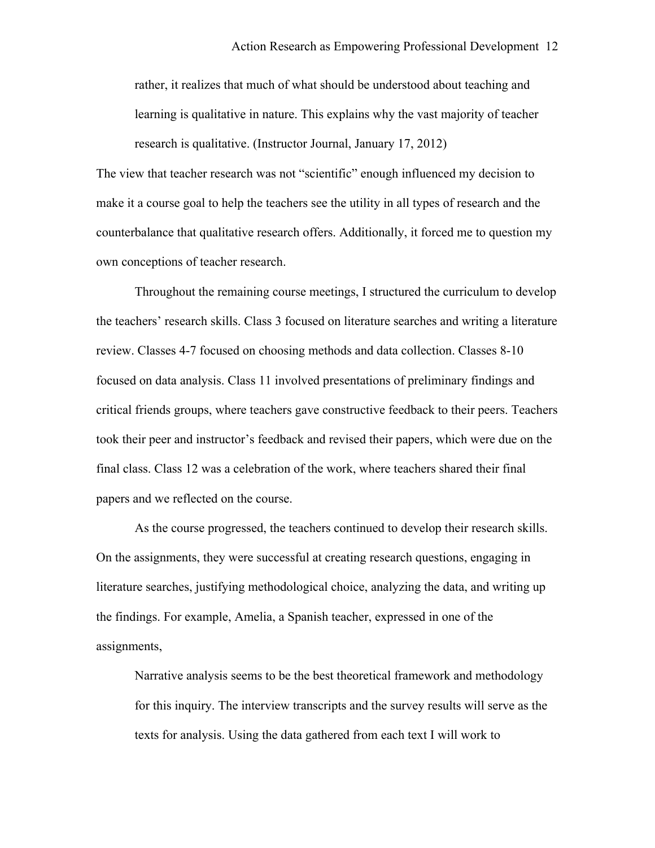rather, it realizes that much of what should be understood about teaching and learning is qualitative in nature. This explains why the vast majority of teacher research is qualitative. (Instructor Journal, January 17, 2012)

The view that teacher research was not "scientific" enough influenced my decision to make it a course goal to help the teachers see the utility in all types of research and the counterbalance that qualitative research offers. Additionally, it forced me to question my own conceptions of teacher research.

Throughout the remaining course meetings, I structured the curriculum to develop the teachers' research skills. Class 3 focused on literature searches and writing a literature review. Classes 4-7 focused on choosing methods and data collection. Classes 8-10 focused on data analysis. Class 11 involved presentations of preliminary findings and critical friends groups, where teachers gave constructive feedback to their peers. Teachers took their peer and instructor's feedback and revised their papers, which were due on the final class. Class 12 was a celebration of the work, where teachers shared their final papers and we reflected on the course.

As the course progressed, the teachers continued to develop their research skills. On the assignments, they were successful at creating research questions, engaging in literature searches, justifying methodological choice, analyzing the data, and writing up the findings. For example, Amelia, a Spanish teacher, expressed in one of the assignments,

Narrative analysis seems to be the best theoretical framework and methodology for this inquiry. The interview transcripts and the survey results will serve as the texts for analysis. Using the data gathered from each text I will work to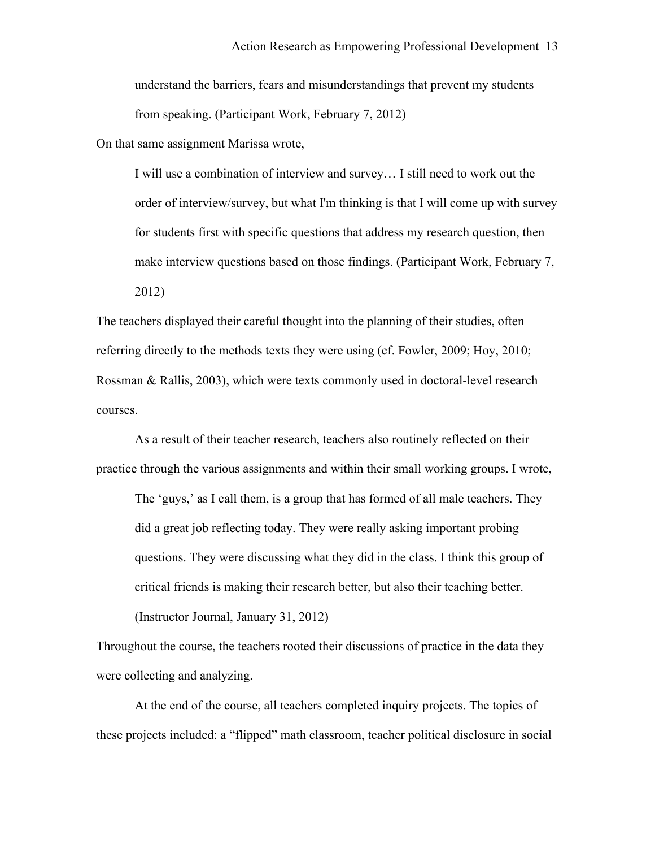understand the barriers, fears and misunderstandings that prevent my students from speaking. (Participant Work, February 7, 2012)

On that same assignment Marissa wrote,

I will use a combination of interview and survey… I still need to work out the order of interview/survey, but what I'm thinking is that I will come up with survey for students first with specific questions that address my research question, then make interview questions based on those findings. (Participant Work, February 7, 2012)

The teachers displayed their careful thought into the planning of their studies, often referring directly to the methods texts they were using (cf. Fowler, 2009; Hoy, 2010; Rossman & Rallis, 2003), which were texts commonly used in doctoral-level research courses.

As a result of their teacher research, teachers also routinely reflected on their practice through the various assignments and within their small working groups. I wrote,

The 'guys,' as I call them, is a group that has formed of all male teachers. They did a great job reflecting today. They were really asking important probing questions. They were discussing what they did in the class. I think this group of critical friends is making their research better, but also their teaching better. (Instructor Journal, January 31, 2012)

Throughout the course, the teachers rooted their discussions of practice in the data they were collecting and analyzing.

At the end of the course, all teachers completed inquiry projects. The topics of these projects included: a "flipped" math classroom, teacher political disclosure in social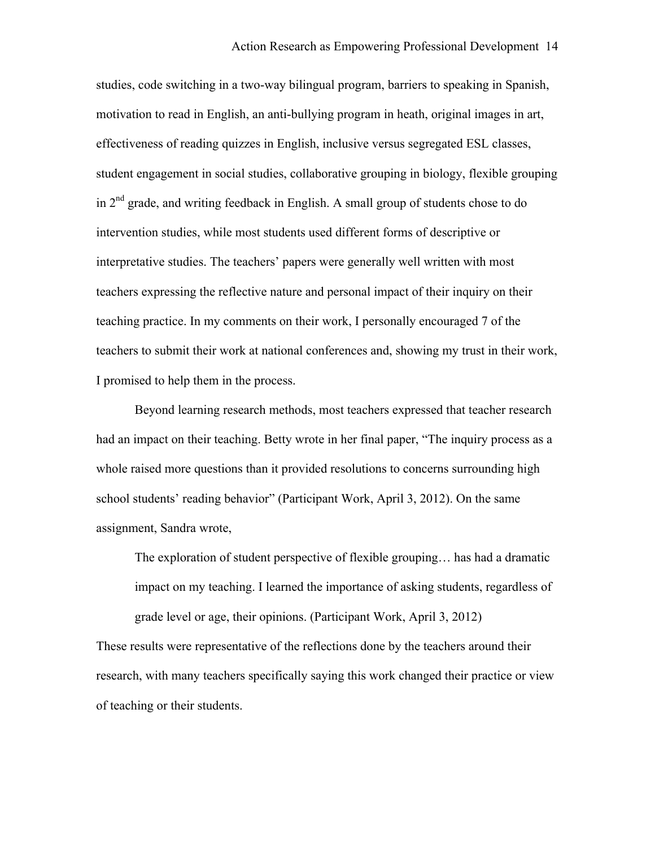studies, code switching in a two-way bilingual program, barriers to speaking in Spanish, motivation to read in English, an anti-bullying program in heath, original images in art, effectiveness of reading quizzes in English, inclusive versus segregated ESL classes, student engagement in social studies, collaborative grouping in biology, flexible grouping in  $2<sup>nd</sup>$  grade, and writing feedback in English. A small group of students chose to do intervention studies, while most students used different forms of descriptive or interpretative studies. The teachers' papers were generally well written with most teachers expressing the reflective nature and personal impact of their inquiry on their teaching practice. In my comments on their work, I personally encouraged 7 of the teachers to submit their work at national conferences and, showing my trust in their work, I promised to help them in the process.

Beyond learning research methods, most teachers expressed that teacher research had an impact on their teaching. Betty wrote in her final paper, "The inquiry process as a whole raised more questions than it provided resolutions to concerns surrounding high school students' reading behavior" (Participant Work, April 3, 2012). On the same assignment, Sandra wrote,

The exploration of student perspective of flexible grouping… has had a dramatic impact on my teaching. I learned the importance of asking students, regardless of grade level or age, their opinions. (Participant Work, April 3, 2012)

These results were representative of the reflections done by the teachers around their research, with many teachers specifically saying this work changed their practice or view of teaching or their students.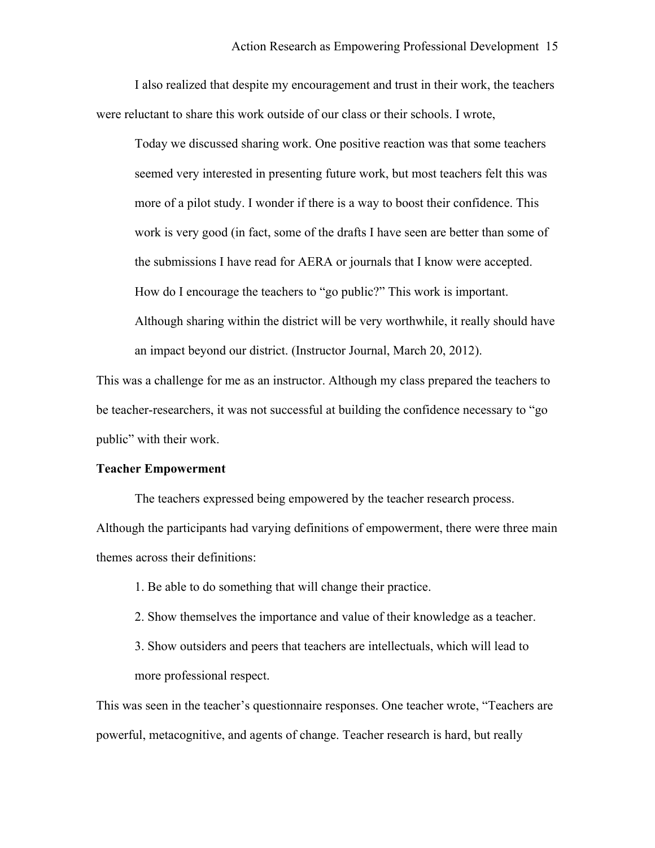I also realized that despite my encouragement and trust in their work, the teachers were reluctant to share this work outside of our class or their schools. I wrote,

Today we discussed sharing work. One positive reaction was that some teachers seemed very interested in presenting future work, but most teachers felt this was more of a pilot study. I wonder if there is a way to boost their confidence. This work is very good (in fact, some of the drafts I have seen are better than some of the submissions I have read for AERA or journals that I know were accepted. How do I encourage the teachers to "go public?" This work is important. Although sharing within the district will be very worthwhile, it really should have an impact beyond our district. (Instructor Journal, March 20, 2012).

This was a challenge for me as an instructor. Although my class prepared the teachers to be teacher-researchers, it was not successful at building the confidence necessary to "go public" with their work.

#### **Teacher Empowerment**

The teachers expressed being empowered by the teacher research process. Although the participants had varying definitions of empowerment, there were three main themes across their definitions:

- 1. Be able to do something that will change their practice.
- 2. Show themselves the importance and value of their knowledge as a teacher.
- 3. Show outsiders and peers that teachers are intellectuals, which will lead to more professional respect.

This was seen in the teacher's questionnaire responses. One teacher wrote, "Teachers are powerful, metacognitive, and agents of change. Teacher research is hard, but really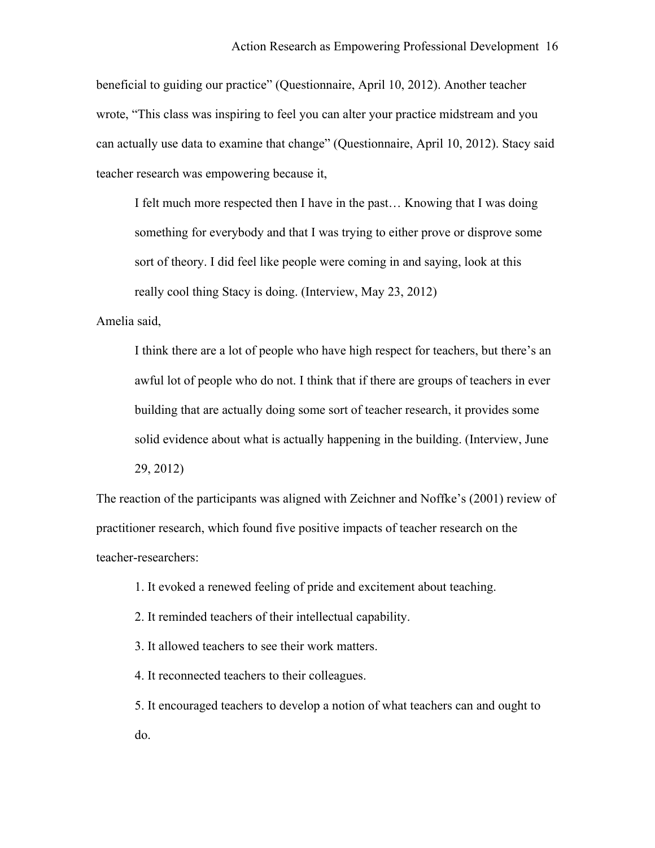beneficial to guiding our practice" (Questionnaire, April 10, 2012). Another teacher wrote, "This class was inspiring to feel you can alter your practice midstream and you can actually use data to examine that change" (Questionnaire, April 10, 2012). Stacy said teacher research was empowering because it,

I felt much more respected then I have in the past… Knowing that I was doing something for everybody and that I was trying to either prove or disprove some sort of theory. I did feel like people were coming in and saying, look at this really cool thing Stacy is doing. (Interview, May 23, 2012)

Amelia said,

I think there are a lot of people who have high respect for teachers, but there's an awful lot of people who do not. I think that if there are groups of teachers in ever building that are actually doing some sort of teacher research, it provides some solid evidence about what is actually happening in the building. (Interview, June 29, 2012)

The reaction of the participants was aligned with Zeichner and Noffke's (2001) review of practitioner research, which found five positive impacts of teacher research on the teacher-researchers:

1. It evoked a renewed feeling of pride and excitement about teaching.

2. It reminded teachers of their intellectual capability.

3. It allowed teachers to see their work matters.

4. It reconnected teachers to their colleagues.

5. It encouraged teachers to develop a notion of what teachers can and ought to do.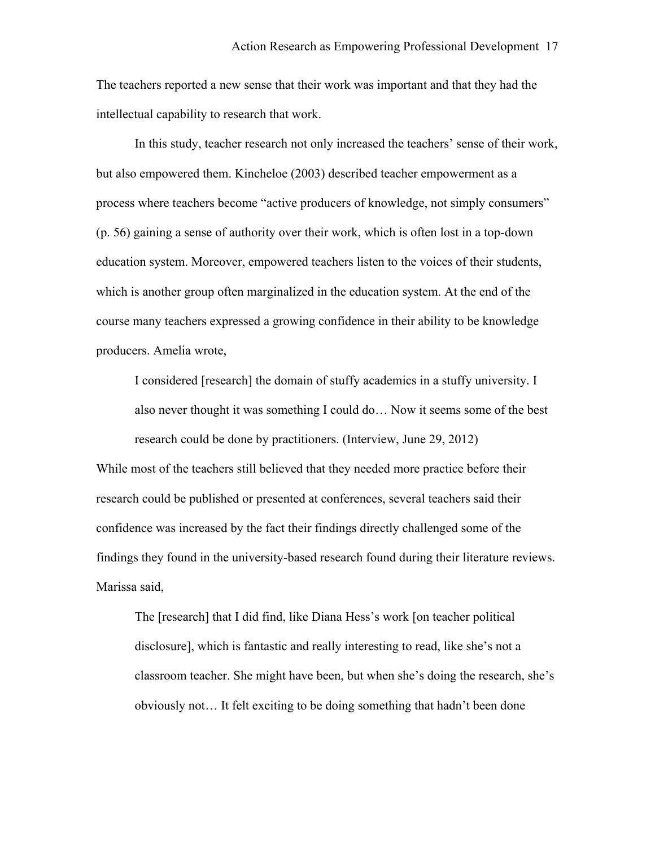The teachers reported a new sense that their work was important and that they had the intellectual capability to research that work.

In this study, teacher research not only increased the teachers' sense of their work, but also empowered them. Kincheloe (2003) described teacher empowerment as a process where teachers become "active producers of knowledge, not simply consumers" (p. 56) gaining a sense of authority over their work, which is often lost in a top-down education system. Moreover, empowered teachers listen to the voices of their students, which is another group often marginalized in the education system. At the end of the course many teachers expressed a growing confidence in their ability to be knowledge producers. Amelia wrote,

I considered [research] the domain of stuffy academics in a stuffy university. I also never thought it was something I could do… Now it seems some of the best research could be done by practitioners. (Interview, June 29, 2012)

While most of the teachers still believed that they needed more practice before their research could be published or presented at conferences, several teachers said their confidence was increased by the fact their findings directly challenged some of the findings they found in the university-based research found during their literature reviews. Marissa said,

The [research] that I did find, like Diana Hess's work [on teacher political disclosure], which is fantastic and really interesting to read, like she's not a classroom teacher. She might have been, but when she's doing the research, she's obviously not… It felt exciting to be doing something that hadn't been done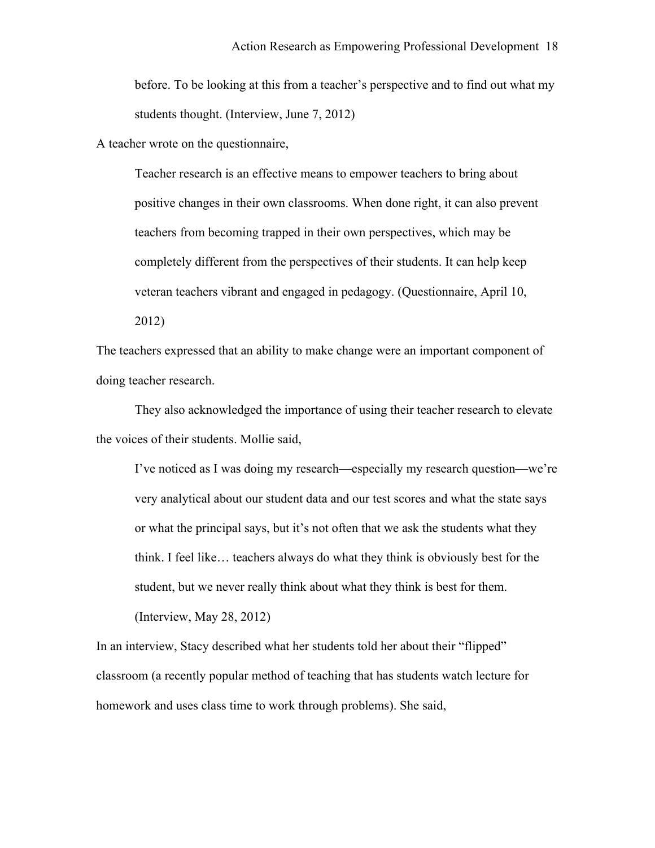before. To be looking at this from a teacher's perspective and to find out what my students thought. (Interview, June 7, 2012)

A teacher wrote on the questionnaire,

Teacher research is an effective means to empower teachers to bring about positive changes in their own classrooms. When done right, it can also prevent teachers from becoming trapped in their own perspectives, which may be completely different from the perspectives of their students. It can help keep veteran teachers vibrant and engaged in pedagogy. (Questionnaire, April 10, 2012)

The teachers expressed that an ability to make change were an important component of doing teacher research.

They also acknowledged the importance of using their teacher research to elevate the voices of their students. Mollie said,

I've noticed as I was doing my research—especially my research question—we're very analytical about our student data and our test scores and what the state says or what the principal says, but it's not often that we ask the students what they think. I feel like… teachers always do what they think is obviously best for the student, but we never really think about what they think is best for them.

(Interview, May 28, 2012)

In an interview, Stacy described what her students told her about their "flipped" classroom (a recently popular method of teaching that has students watch lecture for homework and uses class time to work through problems). She said,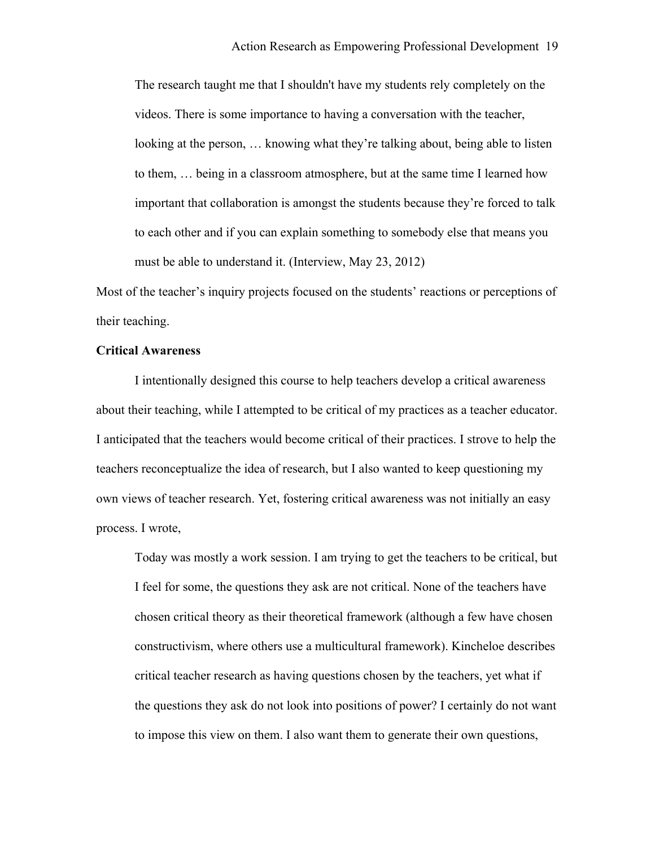The research taught me that I shouldn't have my students rely completely on the videos. There is some importance to having a conversation with the teacher, looking at the person, … knowing what they're talking about, being able to listen to them, … being in a classroom atmosphere, but at the same time I learned how important that collaboration is amongst the students because they're forced to talk to each other and if you can explain something to somebody else that means you must be able to understand it. (Interview, May 23, 2012)

Most of the teacher's inquiry projects focused on the students' reactions or perceptions of their teaching.

### **Critical Awareness**

I intentionally designed this course to help teachers develop a critical awareness about their teaching, while I attempted to be critical of my practices as a teacher educator. I anticipated that the teachers would become critical of their practices. I strove to help the teachers reconceptualize the idea of research, but I also wanted to keep questioning my own views of teacher research. Yet, fostering critical awareness was not initially an easy process. I wrote,

Today was mostly a work session. I am trying to get the teachers to be critical, but I feel for some, the questions they ask are not critical. None of the teachers have chosen critical theory as their theoretical framework (although a few have chosen constructivism, where others use a multicultural framework). Kincheloe describes critical teacher research as having questions chosen by the teachers, yet what if the questions they ask do not look into positions of power? I certainly do not want to impose this view on them. I also want them to generate their own questions,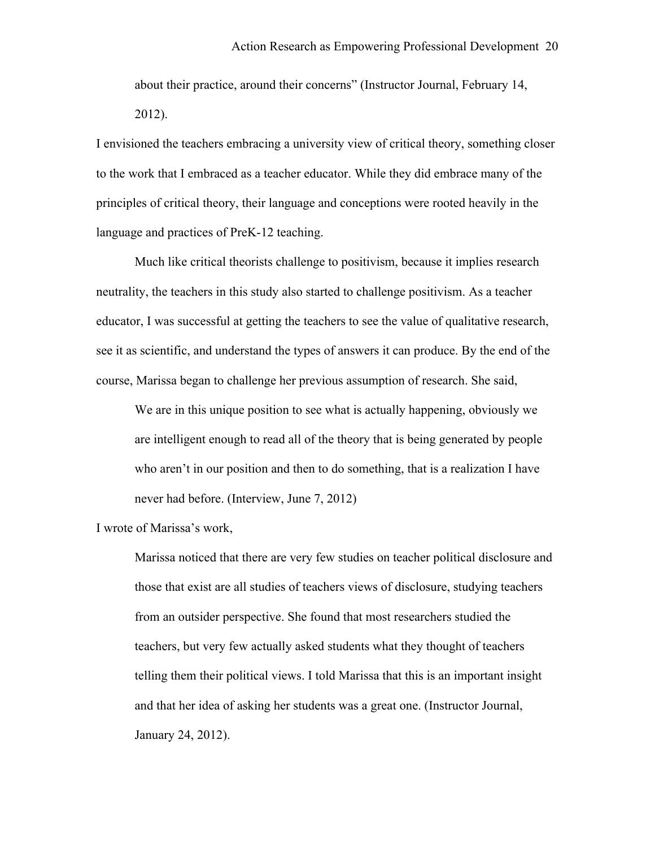about their practice, around their concerns" (Instructor Journal, February 14, 2012).

I envisioned the teachers embracing a university view of critical theory, something closer to the work that I embraced as a teacher educator. While they did embrace many of the principles of critical theory, their language and conceptions were rooted heavily in the language and practices of PreK-12 teaching.

Much like critical theorists challenge to positivism, because it implies research neutrality, the teachers in this study also started to challenge positivism. As a teacher educator, I was successful at getting the teachers to see the value of qualitative research, see it as scientific, and understand the types of answers it can produce. By the end of the course, Marissa began to challenge her previous assumption of research. She said,

We are in this unique position to see what is actually happening, obviously we are intelligent enough to read all of the theory that is being generated by people who aren't in our position and then to do something, that is a realization I have never had before. (Interview, June 7, 2012)

I wrote of Marissa's work,

Marissa noticed that there are very few studies on teacher political disclosure and those that exist are all studies of teachers views of disclosure, studying teachers from an outsider perspective. She found that most researchers studied the teachers, but very few actually asked students what they thought of teachers telling them their political views. I told Marissa that this is an important insight and that her idea of asking her students was a great one. (Instructor Journal, January 24, 2012).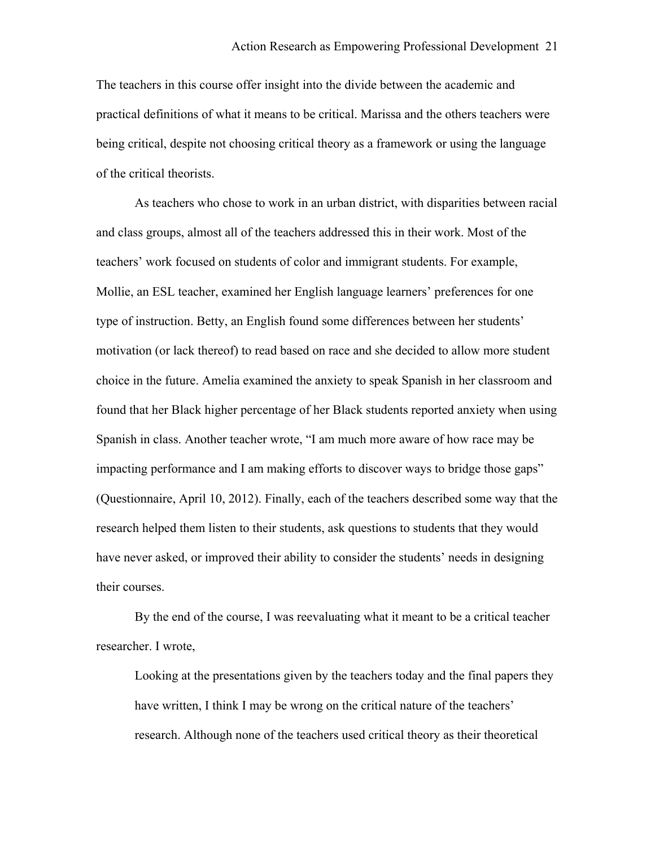The teachers in this course offer insight into the divide between the academic and practical definitions of what it means to be critical. Marissa and the others teachers were being critical, despite not choosing critical theory as a framework or using the language of the critical theorists.

As teachers who chose to work in an urban district, with disparities between racial and class groups, almost all of the teachers addressed this in their work. Most of the teachers' work focused on students of color and immigrant students. For example, Mollie, an ESL teacher, examined her English language learners' preferences for one type of instruction. Betty, an English found some differences between her students' motivation (or lack thereof) to read based on race and she decided to allow more student choice in the future. Amelia examined the anxiety to speak Spanish in her classroom and found that her Black higher percentage of her Black students reported anxiety when using Spanish in class. Another teacher wrote, "I am much more aware of how race may be impacting performance and I am making efforts to discover ways to bridge those gaps" (Questionnaire, April 10, 2012). Finally, each of the teachers described some way that the research helped them listen to their students, ask questions to students that they would have never asked, or improved their ability to consider the students' needs in designing their courses.

By the end of the course, I was reevaluating what it meant to be a critical teacher researcher. I wrote,

Looking at the presentations given by the teachers today and the final papers they have written, I think I may be wrong on the critical nature of the teachers' research. Although none of the teachers used critical theory as their theoretical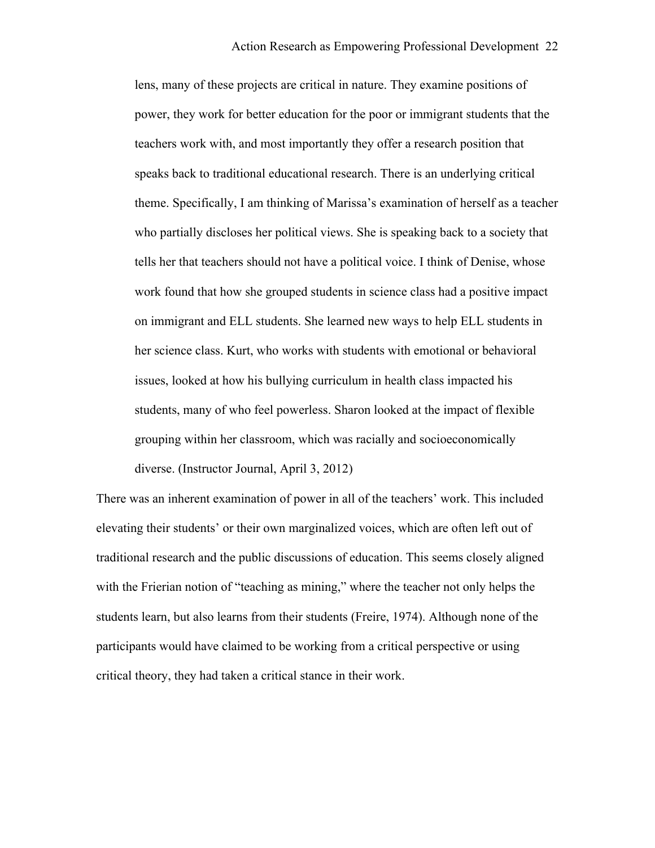lens, many of these projects are critical in nature. They examine positions of power, they work for better education for the poor or immigrant students that the teachers work with, and most importantly they offer a research position that speaks back to traditional educational research. There is an underlying critical theme. Specifically, I am thinking of Marissa's examination of herself as a teacher who partially discloses her political views. She is speaking back to a society that tells her that teachers should not have a political voice. I think of Denise, whose work found that how she grouped students in science class had a positive impact on immigrant and ELL students. She learned new ways to help ELL students in her science class. Kurt, who works with students with emotional or behavioral issues, looked at how his bullying curriculum in health class impacted his students, many of who feel powerless. Sharon looked at the impact of flexible grouping within her classroom, which was racially and socioeconomically diverse. (Instructor Journal, April 3, 2012)

There was an inherent examination of power in all of the teachers' work. This included elevating their students' or their own marginalized voices, which are often left out of traditional research and the public discussions of education. This seems closely aligned with the Frierian notion of "teaching as mining," where the teacher not only helps the students learn, but also learns from their students (Freire, 1974). Although none of the participants would have claimed to be working from a critical perspective or using critical theory, they had taken a critical stance in their work.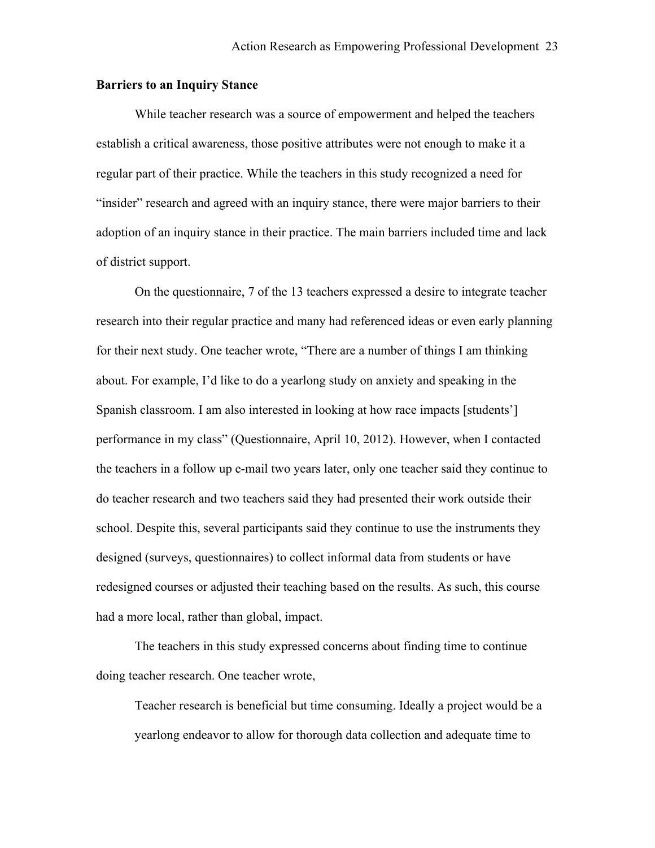### **Barriers to an Inquiry Stance**

While teacher research was a source of empowerment and helped the teachers establish a critical awareness, those positive attributes were not enough to make it a regular part of their practice. While the teachers in this study recognized a need for "insider" research and agreed with an inquiry stance, there were major barriers to their adoption of an inquiry stance in their practice. The main barriers included time and lack of district support.

On the questionnaire, 7 of the 13 teachers expressed a desire to integrate teacher research into their regular practice and many had referenced ideas or even early planning for their next study. One teacher wrote, "There are a number of things I am thinking about. For example, I'd like to do a yearlong study on anxiety and speaking in the Spanish classroom. I am also interested in looking at how race impacts [students'] performance in my class" (Questionnaire, April 10, 2012). However, when I contacted the teachers in a follow up e-mail two years later, only one teacher said they continue to do teacher research and two teachers said they had presented their work outside their school. Despite this, several participants said they continue to use the instruments they designed (surveys, questionnaires) to collect informal data from students or have redesigned courses or adjusted their teaching based on the results. As such, this course had a more local, rather than global, impact.

The teachers in this study expressed concerns about finding time to continue doing teacher research. One teacher wrote,

Teacher research is beneficial but time consuming. Ideally a project would be a yearlong endeavor to allow for thorough data collection and adequate time to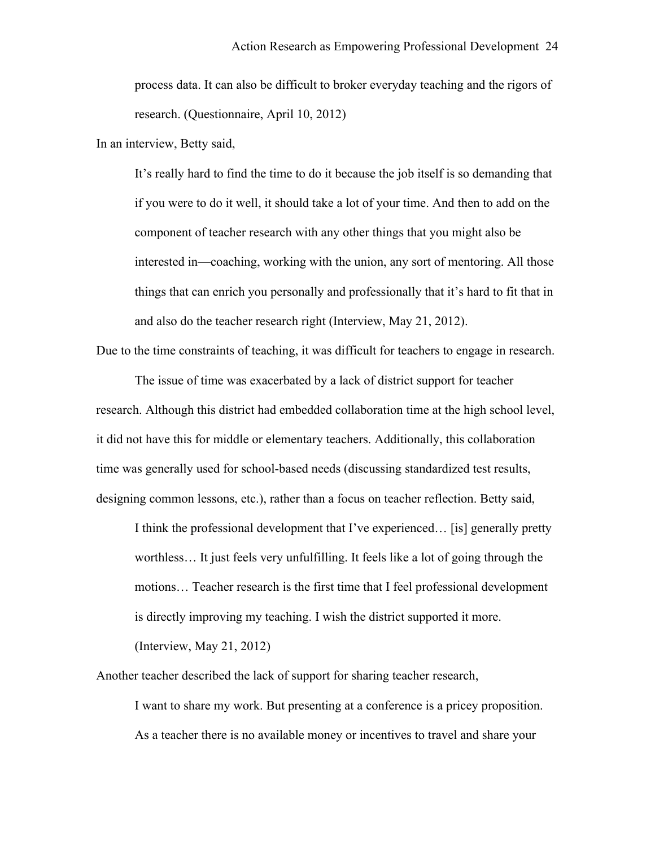process data. It can also be difficult to broker everyday teaching and the rigors of research. (Questionnaire, April 10, 2012)

In an interview, Betty said,

It's really hard to find the time to do it because the job itself is so demanding that if you were to do it well, it should take a lot of your time. And then to add on the component of teacher research with any other things that you might also be interested in—coaching, working with the union, any sort of mentoring. All those things that can enrich you personally and professionally that it's hard to fit that in and also do the teacher research right (Interview, May 21, 2012).

Due to the time constraints of teaching, it was difficult for teachers to engage in research.

The issue of time was exacerbated by a lack of district support for teacher research. Although this district had embedded collaboration time at the high school level, it did not have this for middle or elementary teachers. Additionally, this collaboration time was generally used for school-based needs (discussing standardized test results, designing common lessons, etc.), rather than a focus on teacher reflection. Betty said,

I think the professional development that I've experienced… [is] generally pretty worthless… It just feels very unfulfilling. It feels like a lot of going through the motions… Teacher research is the first time that I feel professional development is directly improving my teaching. I wish the district supported it more. (Interview, May 21, 2012)

Another teacher described the lack of support for sharing teacher research,

I want to share my work. But presenting at a conference is a pricey proposition. As a teacher there is no available money or incentives to travel and share your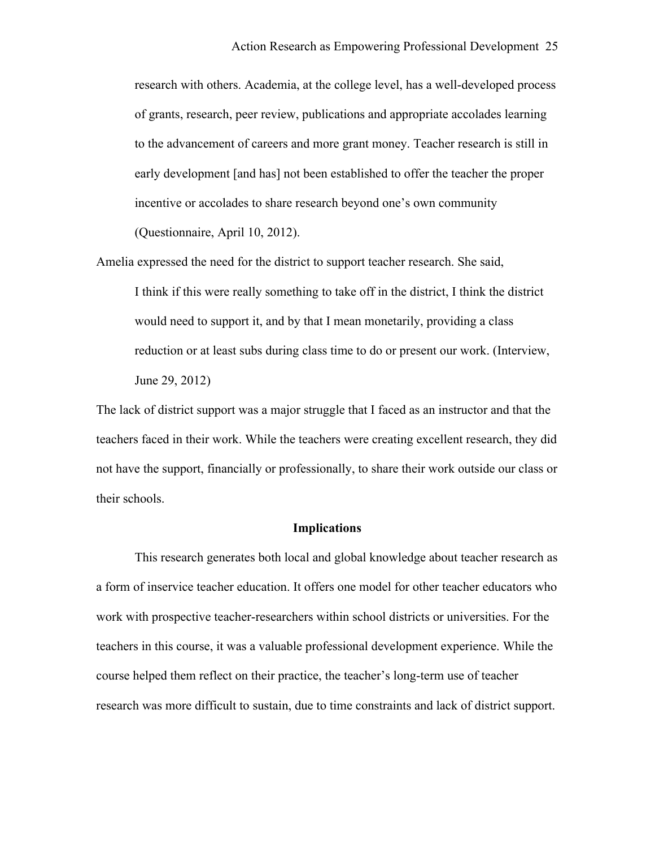research with others. Academia, at the college level, has a well-developed process of grants, research, peer review, publications and appropriate accolades learning to the advancement of careers and more grant money. Teacher research is still in early development [and has] not been established to offer the teacher the proper incentive or accolades to share research beyond one's own community (Questionnaire, April 10, 2012).

Amelia expressed the need for the district to support teacher research. She said, I think if this were really something to take off in the district, I think the district would need to support it, and by that I mean monetarily, providing a class reduction or at least subs during class time to do or present our work. (Interview, June 29, 2012)

The lack of district support was a major struggle that I faced as an instructor and that the teachers faced in their work. While the teachers were creating excellent research, they did not have the support, financially or professionally, to share their work outside our class or their schools.

### **Implications**

This research generates both local and global knowledge about teacher research as a form of inservice teacher education. It offers one model for other teacher educators who work with prospective teacher-researchers within school districts or universities. For the teachers in this course, it was a valuable professional development experience. While the course helped them reflect on their practice, the teacher's long-term use of teacher research was more difficult to sustain, due to time constraints and lack of district support.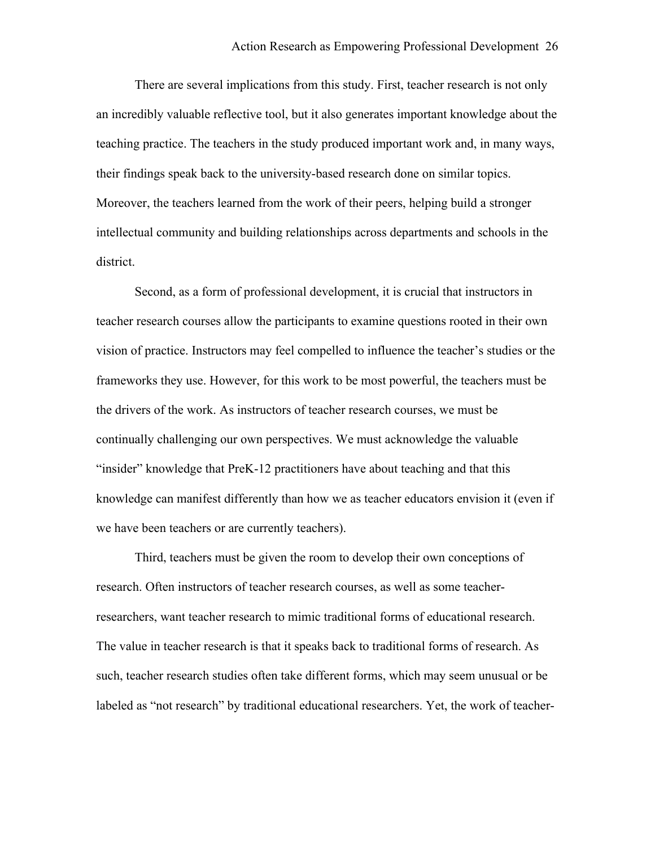There are several implications from this study. First, teacher research is not only an incredibly valuable reflective tool, but it also generates important knowledge about the teaching practice. The teachers in the study produced important work and, in many ways, their findings speak back to the university-based research done on similar topics. Moreover, the teachers learned from the work of their peers, helping build a stronger intellectual community and building relationships across departments and schools in the district.

Second, as a form of professional development, it is crucial that instructors in teacher research courses allow the participants to examine questions rooted in their own vision of practice. Instructors may feel compelled to influence the teacher's studies or the frameworks they use. However, for this work to be most powerful, the teachers must be the drivers of the work. As instructors of teacher research courses, we must be continually challenging our own perspectives. We must acknowledge the valuable "insider" knowledge that PreK-12 practitioners have about teaching and that this knowledge can manifest differently than how we as teacher educators envision it (even if we have been teachers or are currently teachers).

Third, teachers must be given the room to develop their own conceptions of research. Often instructors of teacher research courses, as well as some teacherresearchers, want teacher research to mimic traditional forms of educational research. The value in teacher research is that it speaks back to traditional forms of research. As such, teacher research studies often take different forms, which may seem unusual or be labeled as "not research" by traditional educational researchers. Yet, the work of teacher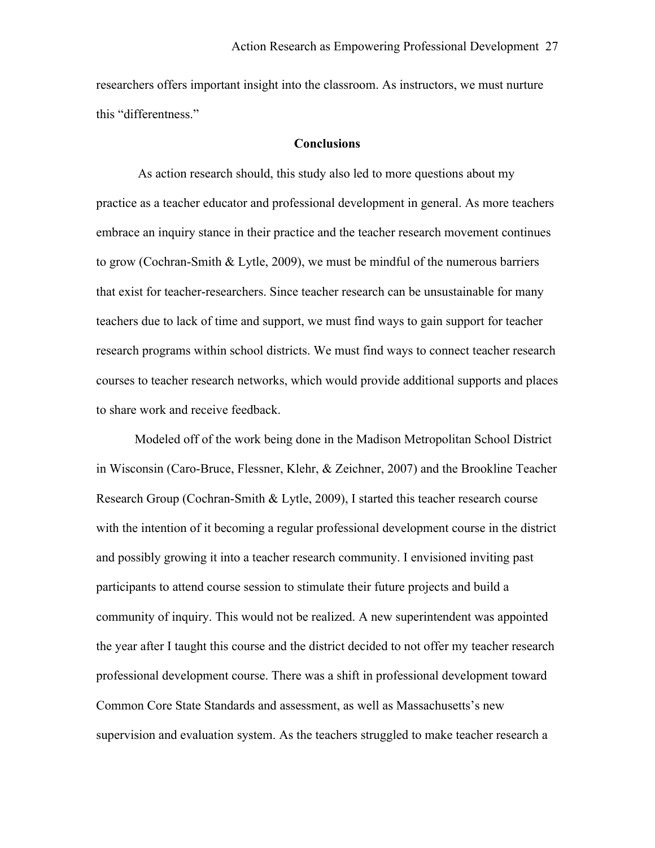researchers offers important insight into the classroom. As instructors, we must nurture this "differentness."

### **Conclusions**

As action research should, this study also led to more questions about my practice as a teacher educator and professional development in general. As more teachers embrace an inquiry stance in their practice and the teacher research movement continues to grow (Cochran-Smith & Lytle, 2009), we must be mindful of the numerous barriers that exist for teacher-researchers. Since teacher research can be unsustainable for many teachers due to lack of time and support, we must find ways to gain support for teacher research programs within school districts. We must find ways to connect teacher research courses to teacher research networks, which would provide additional supports and places to share work and receive feedback.

Modeled off of the work being done in the Madison Metropolitan School District in Wisconsin (Caro-Bruce, Flessner, Klehr, & Zeichner, 2007) and the Brookline Teacher Research Group (Cochran-Smith & Lytle, 2009), I started this teacher research course with the intention of it becoming a regular professional development course in the district and possibly growing it into a teacher research community. I envisioned inviting past participants to attend course session to stimulate their future projects and build a community of inquiry. This would not be realized. A new superintendent was appointed the year after I taught this course and the district decided to not offer my teacher research professional development course. There was a shift in professional development toward Common Core State Standards and assessment, as well as Massachusetts's new supervision and evaluation system. As the teachers struggled to make teacher research a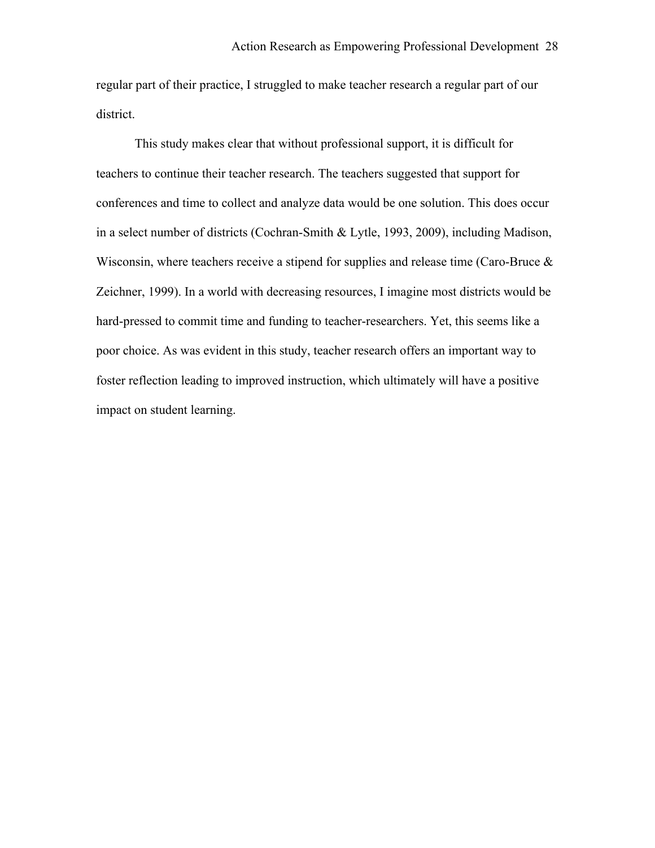regular part of their practice, I struggled to make teacher research a regular part of our district.

This study makes clear that without professional support, it is difficult for teachers to continue their teacher research. The teachers suggested that support for conferences and time to collect and analyze data would be one solution. This does occur in a select number of districts (Cochran-Smith & Lytle, 1993, 2009), including Madison, Wisconsin, where teachers receive a stipend for supplies and release time (Caro-Bruce & Zeichner, 1999). In a world with decreasing resources, I imagine most districts would be hard-pressed to commit time and funding to teacher-researchers. Yet, this seems like a poor choice. As was evident in this study, teacher research offers an important way to foster reflection leading to improved instruction, which ultimately will have a positive impact on student learning.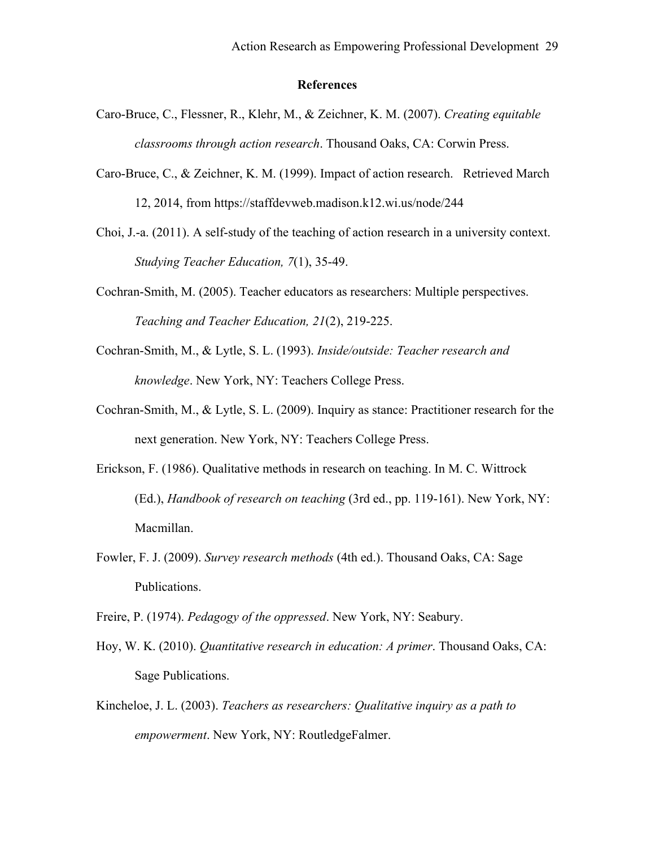### **References**

- Caro-Bruce, C., Flessner, R., Klehr, M., & Zeichner, K. M. (2007). *Creating equitable classrooms through action research*. Thousand Oaks, CA: Corwin Press.
- Caro-Bruce, C., & Zeichner, K. M. (1999). Impact of action research. Retrieved March 12, 2014, from https://staffdevweb.madison.k12.wi.us/node/244
- Choi, J.-a. (2011). A self-study of the teaching of action research in a university context. *Studying Teacher Education, 7*(1), 35-49.
- Cochran-Smith, M. (2005). Teacher educators as researchers: Multiple perspectives. *Teaching and Teacher Education, 21*(2), 219-225.
- Cochran-Smith, M., & Lytle, S. L. (1993). *Inside/outside: Teacher research and knowledge*. New York, NY: Teachers College Press.
- Cochran-Smith, M., & Lytle, S. L. (2009). Inquiry as stance: Practitioner research for the next generation. New York, NY: Teachers College Press.
- Erickson, F. (1986). Qualitative methods in research on teaching. In M. C. Wittrock (Ed.), *Handbook of research on teaching* (3rd ed., pp. 119-161). New York, NY: Macmillan.
- Fowler, F. J. (2009). *Survey research methods* (4th ed.). Thousand Oaks, CA: Sage Publications.

Freire, P. (1974). *Pedagogy of the oppressed*. New York, NY: Seabury.

- Hoy, W. K. (2010). *Quantitative research in education: A primer*. Thousand Oaks, CA: Sage Publications.
- Kincheloe, J. L. (2003). *Teachers as researchers: Qualitative inquiry as a path to empowerment*. New York, NY: RoutledgeFalmer.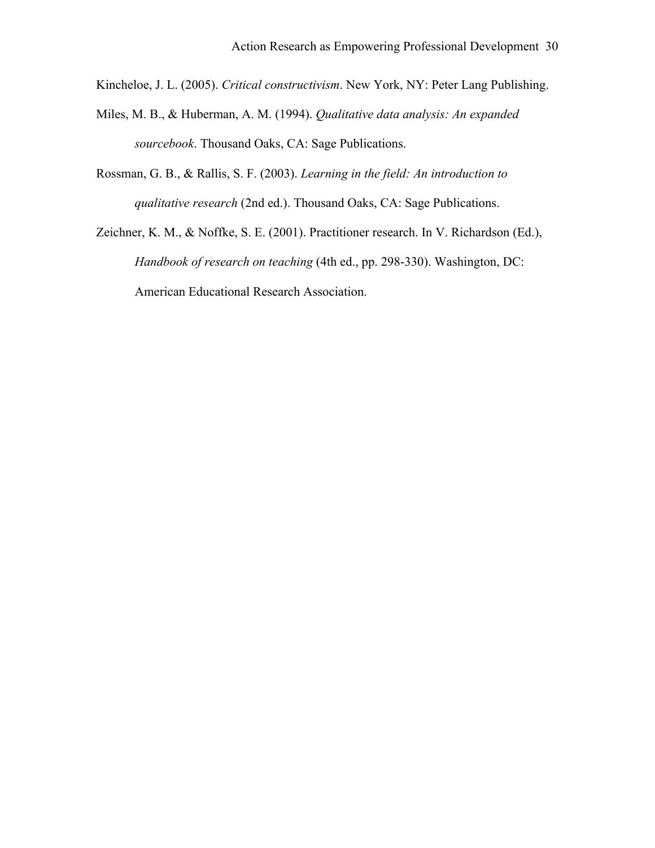Kincheloe, J. L. (2005). *Critical constructivism*. New York, NY: Peter Lang Publishing.

- Miles, M. B., & Huberman, A. M. (1994). *Qualitative data analysis: An expanded sourcebook*. Thousand Oaks, CA: Sage Publications.
- Rossman, G. B., & Rallis, S. F. (2003). *Learning in the field: An introduction to qualitative research* (2nd ed.). Thousand Oaks, CA: Sage Publications.

Zeichner, K. M., & Noffke, S. E. (2001). Practitioner research. In V. Richardson (Ed.), *Handbook of research on teaching* (4th ed., pp. 298-330). Washington, DC: American Educational Research Association.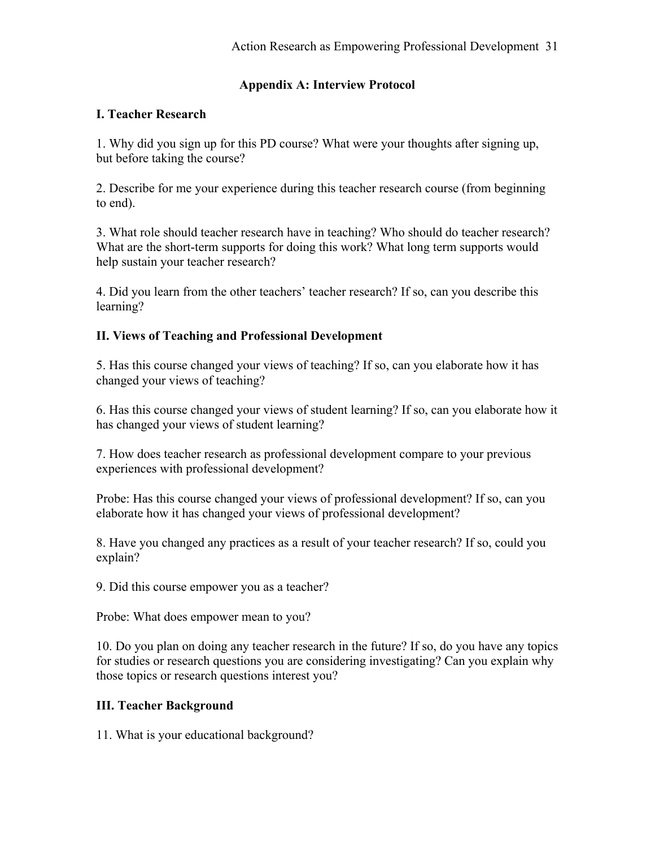# **Appendix A: Interview Protocol**

# **I. Teacher Research**

1. Why did you sign up for this PD course? What were your thoughts after signing up, but before taking the course?

2. Describe for me your experience during this teacher research course (from beginning to end).

3. What role should teacher research have in teaching? Who should do teacher research? What are the short-term supports for doing this work? What long term supports would help sustain your teacher research?

4. Did you learn from the other teachers' teacher research? If so, can you describe this learning?

# **II. Views of Teaching and Professional Development**

5. Has this course changed your views of teaching? If so, can you elaborate how it has changed your views of teaching?

6. Has this course changed your views of student learning? If so, can you elaborate how it has changed your views of student learning?

7. How does teacher research as professional development compare to your previous experiences with professional development?

Probe: Has this course changed your views of professional development? If so, can you elaborate how it has changed your views of professional development?

8. Have you changed any practices as a result of your teacher research? If so, could you explain?

9. Did this course empower you as a teacher?

Probe: What does empower mean to you?

10. Do you plan on doing any teacher research in the future? If so, do you have any topics for studies or research questions you are considering investigating? Can you explain why those topics or research questions interest you?

# **III. Teacher Background**

11. What is your educational background?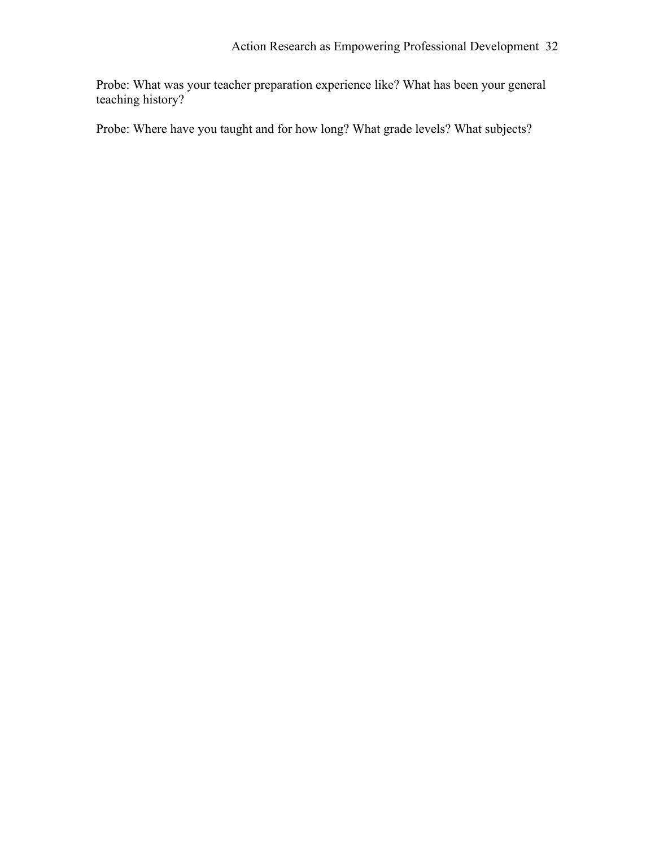Probe: What was your teacher preparation experience like? What has been your general teaching history?

Probe: Where have you taught and for how long? What grade levels? What subjects?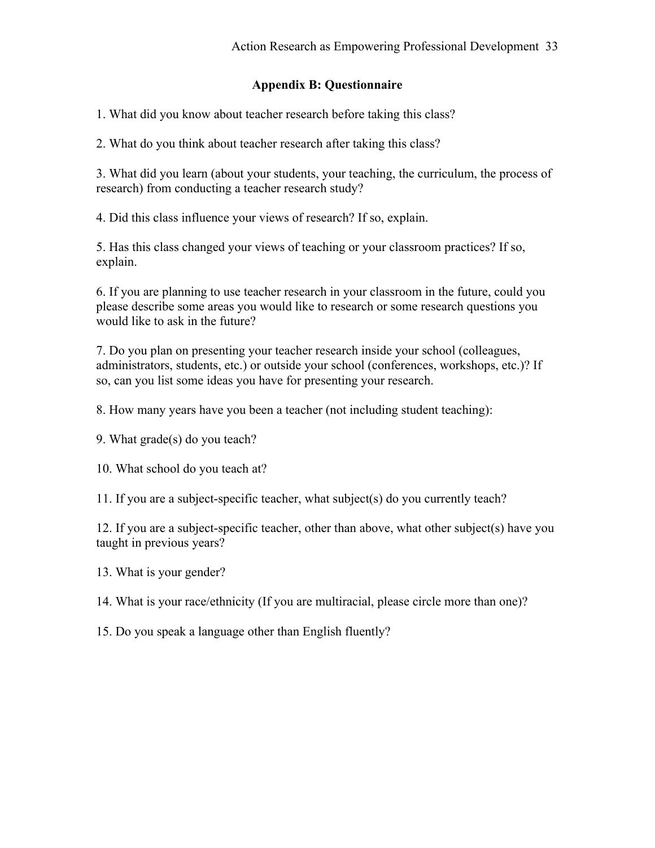# **Appendix B: Questionnaire**

1. What did you know about teacher research before taking this class?

2. What do you think about teacher research after taking this class?

3. What did you learn (about your students, your teaching, the curriculum, the process of research) from conducting a teacher research study?

4. Did this class influence your views of research? If so, explain.

5. Has this class changed your views of teaching or your classroom practices? If so, explain.

6. If you are planning to use teacher research in your classroom in the future, could you please describe some areas you would like to research or some research questions you would like to ask in the future?

7. Do you plan on presenting your teacher research inside your school (colleagues, administrators, students, etc.) or outside your school (conferences, workshops, etc.)? If so, can you list some ideas you have for presenting your research.

8. How many years have you been a teacher (not including student teaching):

- 9. What grade(s) do you teach?
- 10. What school do you teach at?

11. If you are a subject-specific teacher, what subject(s) do you currently teach?

12. If you are a subject-specific teacher, other than above, what other subject(s) have you taught in previous years?

13. What is your gender?

14. What is your race/ethnicity (If you are multiracial, please circle more than one)?

15. Do you speak a language other than English fluently?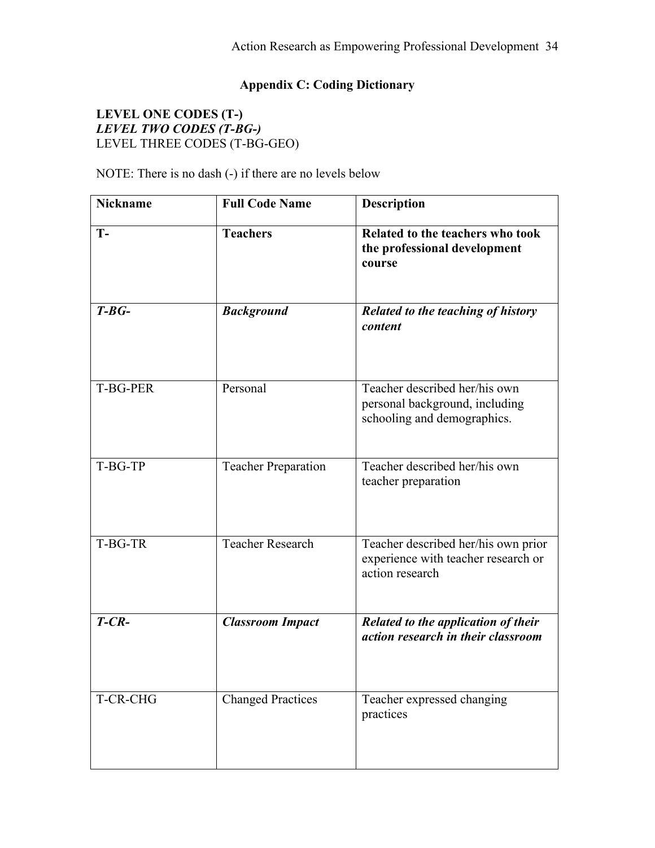# **Appendix C: Coding Dictionary**

## **LEVEL ONE CODES (T-)** *LEVEL TWO CODES (T-BG-)* LEVEL THREE CODES (T-BG-GEO)

NOTE: There is no dash (-) if there are no levels below

| <b>Nickname</b> | <b>Full Code Name</b>      | <b>Description</b>                                                                             |  |
|-----------------|----------------------------|------------------------------------------------------------------------------------------------|--|
| $T -$           | <b>Teachers</b>            | Related to the teachers who took<br>the professional development<br>course                     |  |
| $T-BG-$         | <b>Background</b>          | <b>Related to the teaching of history</b><br>content                                           |  |
| <b>T-BG-PER</b> | Personal                   | Teacher described her/his own<br>personal background, including<br>schooling and demographics. |  |
| T-BG-TP         | <b>Teacher Preparation</b> | Teacher described her/his own<br>teacher preparation                                           |  |
| T-BG-TR         | <b>Teacher Research</b>    | Teacher described her/his own prior<br>experience with teacher research or<br>action research  |  |
| $T-CR-$         | <b>Classroom Impact</b>    | Related to the application of their<br>action research in their classroom                      |  |
| T-CR-CHG        | <b>Changed Practices</b>   | Teacher expressed changing<br>practices                                                        |  |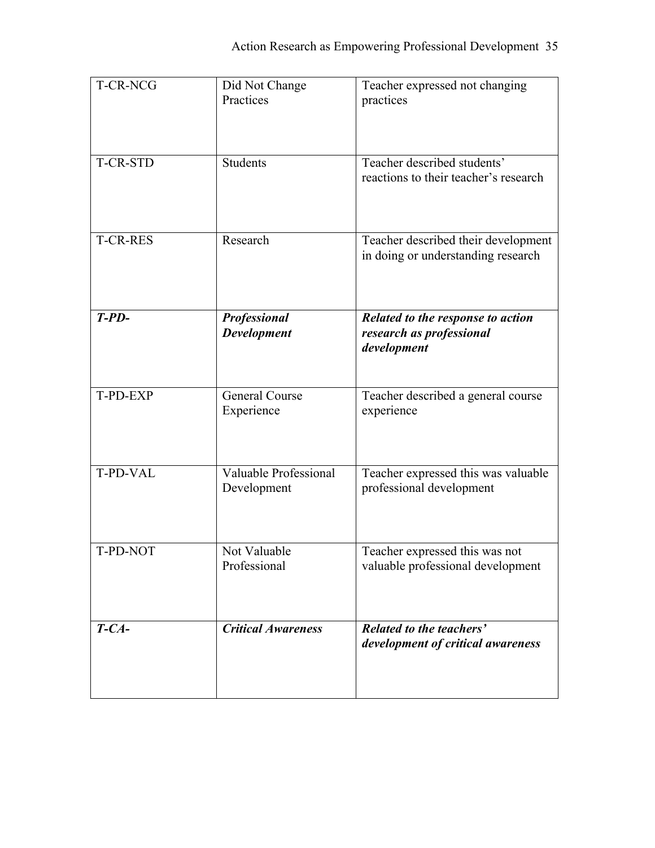| T-CR-NCG        | Did Not Change<br>Practices               | Teacher expressed not changing<br>practices                                  |
|-----------------|-------------------------------------------|------------------------------------------------------------------------------|
| T-CR-STD        | <b>Students</b>                           | Teacher described students'<br>reactions to their teacher's research         |
| <b>T-CR-RES</b> | Research                                  | Teacher described their development<br>in doing or understanding research    |
| $T-PD-$         | <b>Professional</b><br><b>Development</b> | Related to the response to action<br>research as professional<br>development |
| T-PD-EXP        | <b>General Course</b><br>Experience       | Teacher described a general course<br>experience                             |
| T-PD-VAL        | Valuable Professional<br>Development      | Teacher expressed this was valuable<br>professional development              |
| T-PD-NOT        | Not Valuable<br>Professional              | Teacher expressed this was not<br>valuable professional development          |
| $T$ - $CA$ -    | <b>Critical Awareness</b>                 | Related to the teachers'<br>development of critical awareness                |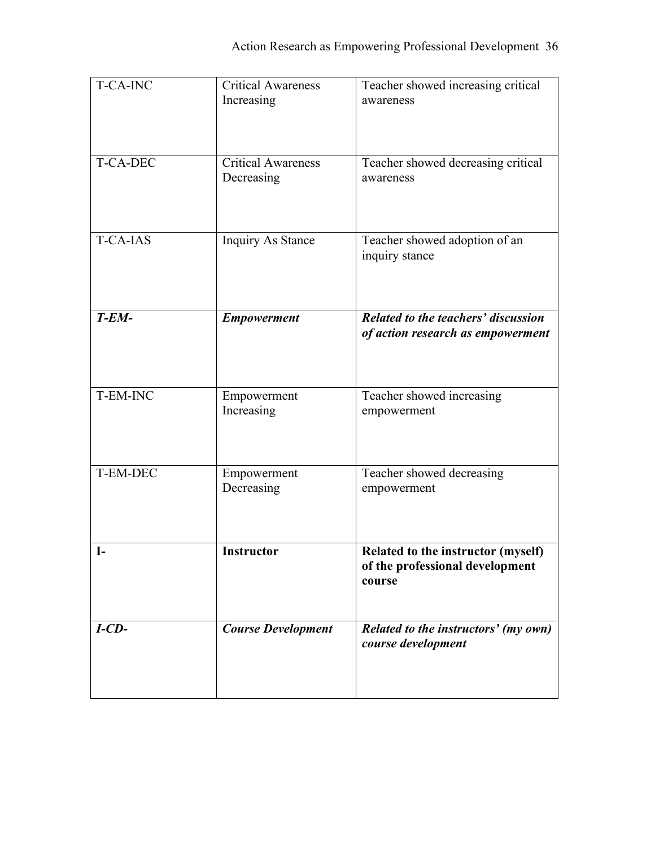| T-CA-INC        | <b>Critical Awareness</b><br>Increasing | Teacher showed increasing critical<br>awareness                                        |
|-----------------|-----------------------------------------|----------------------------------------------------------------------------------------|
| <b>T-CA-DEC</b> | <b>Critical Awareness</b><br>Decreasing | Teacher showed decreasing critical<br>awareness                                        |
| <b>T-CA-IAS</b> | Inquiry As Stance                       | Teacher showed adoption of an<br>inquiry stance                                        |
| $T$ -EM-        | <b>Empowerment</b>                      | <b>Related to the teachers' discussion</b><br>of action research as empowerment        |
| T-EM-INC        | Empowerment<br>Increasing               | Teacher showed increasing<br>empowerment                                               |
| T-EM-DEC        | Empowerment<br>Decreasing               | Teacher showed decreasing<br>empowerment                                               |
| I-              | <b>Instructor</b>                       | <b>Related to the instructor (myself)</b><br>of the professional development<br>course |
| $I$ -CD-        | <b>Course Development</b>               | Related to the instructors' (my own)<br>course development                             |